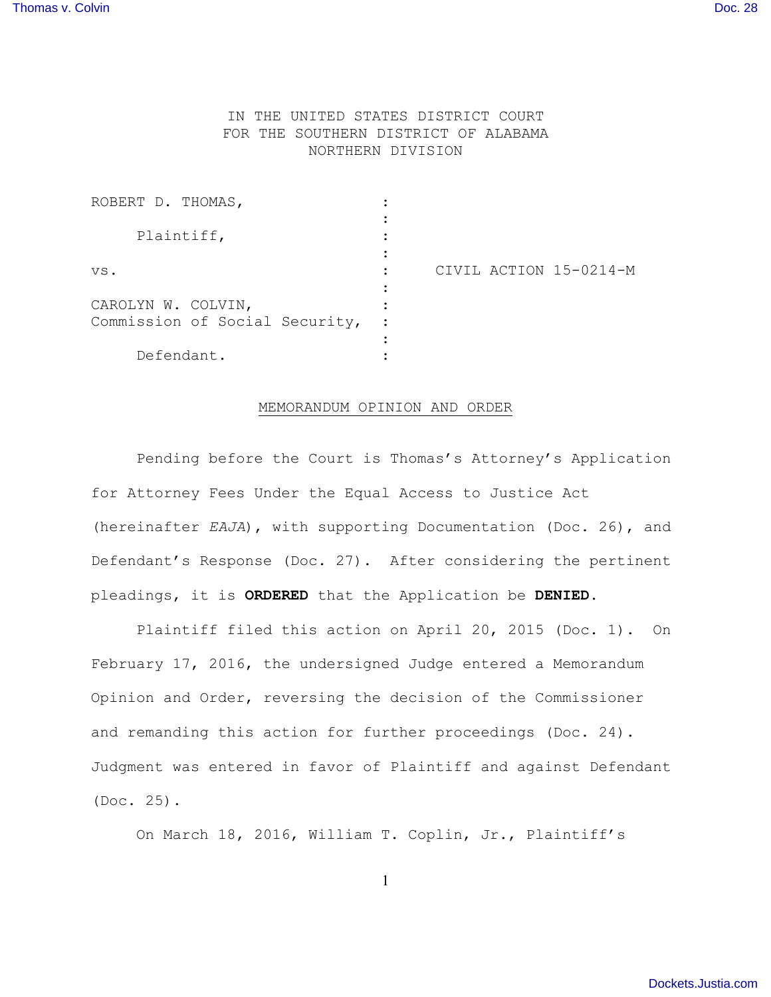## IN THE UNITED STATES DISTRICT COURT FOR THE SOUTHERN DISTRICT OF ALABAMA NORTHERN DIVISION

| ROBERT D. THOMAS,                                    |                        |
|------------------------------------------------------|------------------------|
| Plaintiff,                                           |                        |
| VS.                                                  | CIVIL ACTION 15-0214-M |
| CAROLYN W. COLVIN,<br>Commission of Social Security, |                        |
| Defendant.                                           |                        |

## MEMORANDUM OPINION AND ORDER

Pending before the Court is Thomas's Attorney's Application for Attorney Fees Under the Equal Access to Justice Act (hereinafter *EAJA*), with supporting Documentation (Doc. 26), and Defendant's Response (Doc. 27). After considering the pertinent pleadings, it is **ORDERED** that the Application be **DENIED**.

Plaintiff filed this action on April 20, 2015 (Doc. 1). On February 17, 2016, the undersigned Judge entered a Memorandum Opinion and Order, reversing the decision of the Commissioner and remanding this action for further proceedings (Doc. 24). Judgment was entered in favor of Plaintiff and against Defendant (Doc. 25).

On March 18, 2016, William T. Coplin, Jr., Plaintiff's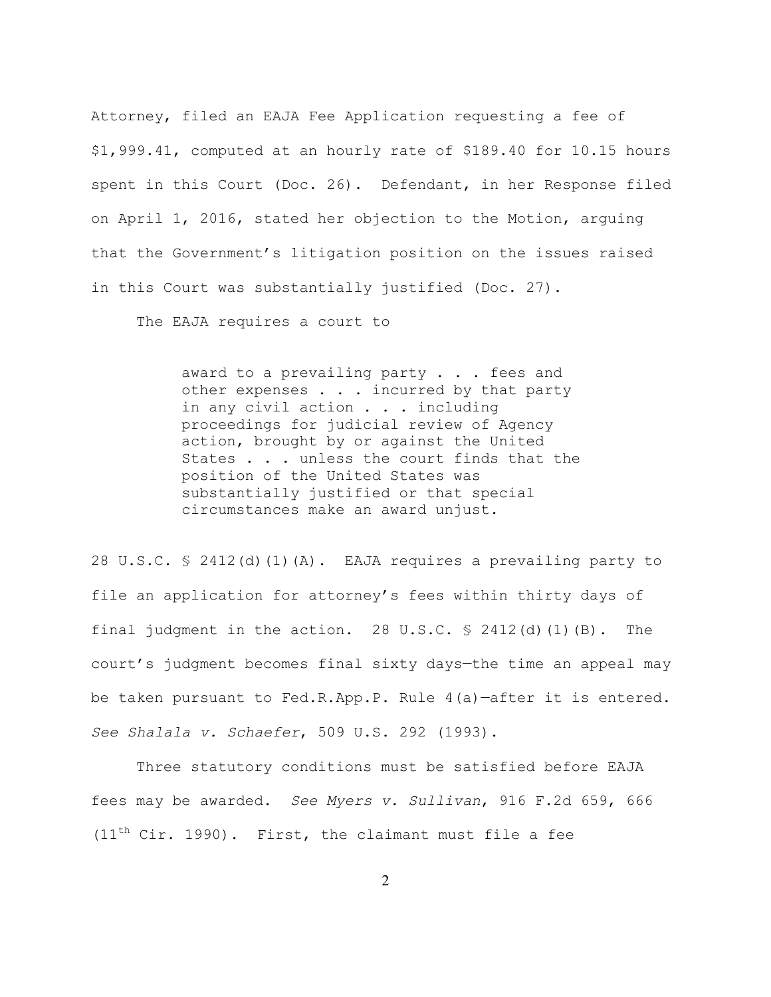Attorney, filed an EAJA Fee Application requesting a fee of \$1,999.41, computed at an hourly rate of \$189.40 for 10.15 hours spent in this Court (Doc. 26). Defendant, in her Response filed on April 1, 2016, stated her objection to the Motion, arguing that the Government's litigation position on the issues raised in this Court was substantially justified (Doc. 27).

The EAJA requires a court to

award to a prevailing party . . . fees and other expenses . . . incurred by that party in any civil action . . . including proceedings for judicial review of Agency action, brought by or against the United States . . . unless the court finds that the position of the United States was substantially justified or that special circumstances make an award unjust.

28 U.S.C. § 2412(d)(1)(A). EAJA requires a prevailing party to file an application for attorney's fees within thirty days of final judgment in the action. 28 U.S.C. § 2412(d)(1)(B). The court's judgment becomes final sixty days—the time an appeal may be taken pursuant to Fed.R.App.P. Rule 4(a)—after it is entered. *See Shalala v. Schaefer*, 509 U.S. 292 (1993).

 Three statutory conditions must be satisfied before EAJA fees may be awarded. *See Myers v. Sullivan*, 916 F.2d 659, 666  $(11<sup>th</sup> Cir. 1990)$ . First, the claimant must file a fee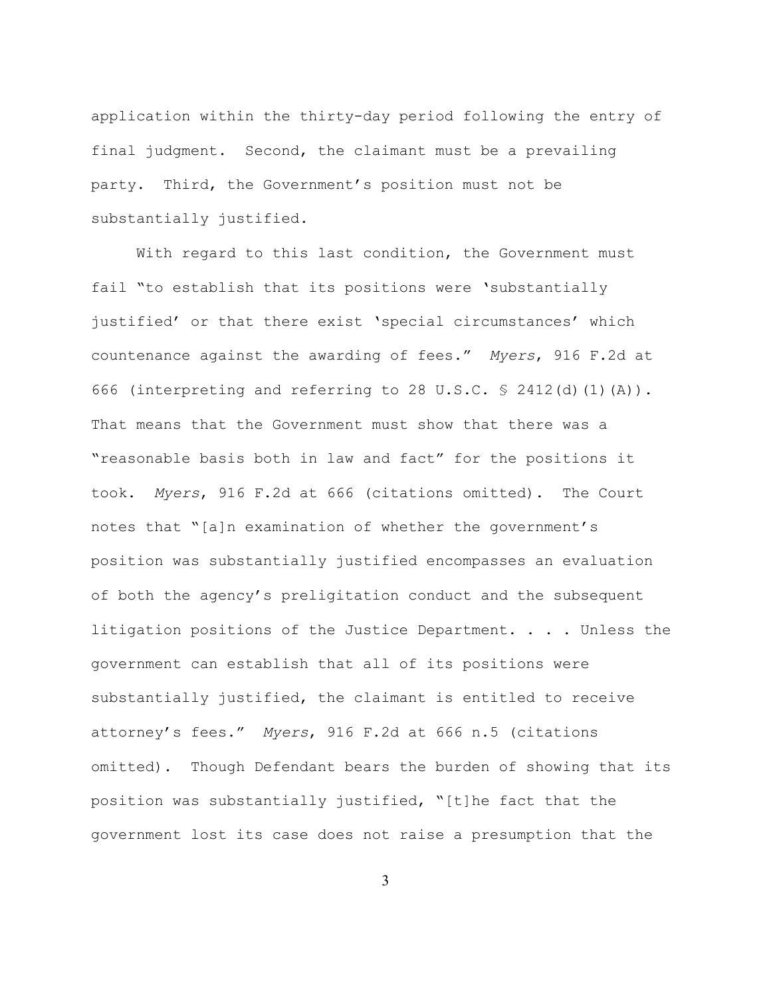application within the thirty-day period following the entry of final judgment. Second, the claimant must be a prevailing party. Third, the Government's position must not be substantially justified.

With regard to this last condition, the Government must fail "to establish that its positions were 'substantially justified' or that there exist 'special circumstances' which countenance against the awarding of fees." *Myers*, 916 F.2d at 666 (interpreting and referring to 28 U.S.C. § 2412(d)(1)(A)). That means that the Government must show that there was a "reasonable basis both in law and fact" for the positions it took. *Myers*, 916 F.2d at 666 (citations omitted). The Court notes that "[a]n examination of whether the government's position was substantially justified encompasses an evaluation of both the agency's preligitation conduct and the subsequent litigation positions of the Justice Department. . . . Unless the government can establish that all of its positions were substantially justified, the claimant is entitled to receive attorney's fees." *Myers*, 916 F.2d at 666 n.5 (citations omitted). Though Defendant bears the burden of showing that its position was substantially justified, "[t]he fact that the government lost its case does not raise a presumption that the

3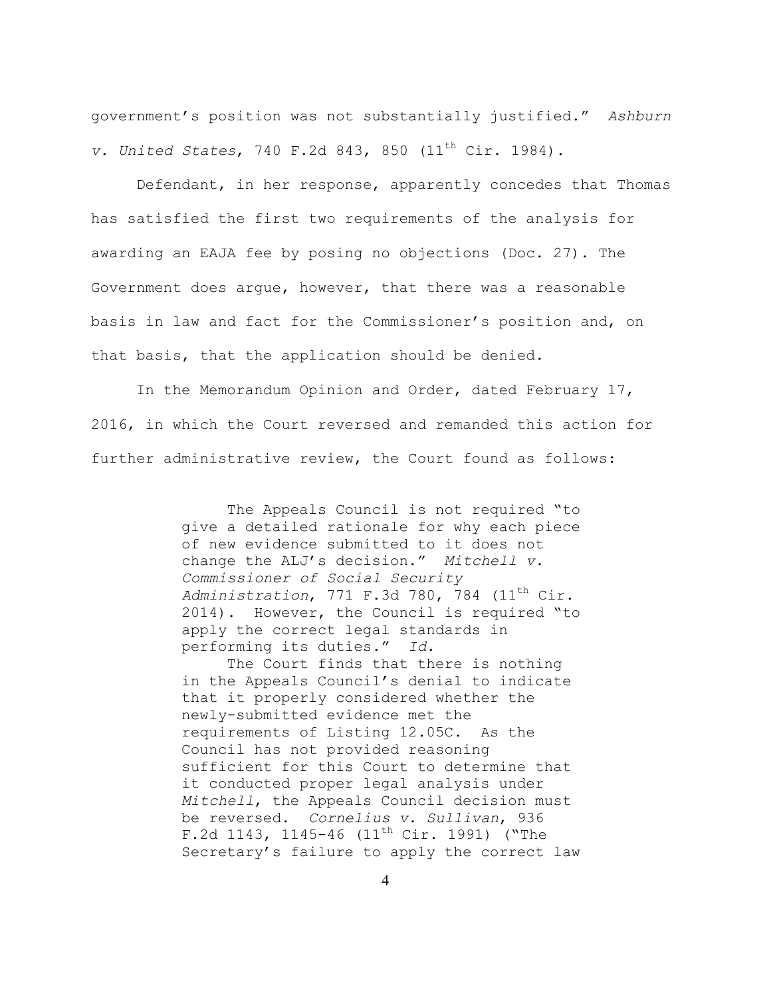government's position was not substantially justified." *Ashburn v. United States, 740 F.2d 843, 850 (11<sup>th</sup> Cir. 1984).* 

 Defendant, in her response, apparently concedes that Thomas has satisfied the first two requirements of the analysis for awarding an EAJA fee by posing no objections (Doc. 27). The Government does argue, however, that there was a reasonable basis in law and fact for the Commissioner's position and, on that basis, that the application should be denied.

 In the Memorandum Opinion and Order, dated February 17, 2016, in which the Court reversed and remanded this action for further administrative review, the Court found as follows:

> The Appeals Council is not required "to give a detailed rationale for why each piece of new evidence submitted to it does not change the ALJ's decision." *Mitchell v. Commissioner of Social Security Administration*, 771 F.3d 780, 784 (11th Cir. 2014). However, the Council is required "to apply the correct legal standards in performing its duties." *Id.*

> The Court finds that there is nothing in the Appeals Council's denial to indicate that it properly considered whether the newly-submitted evidence met the requirements of Listing 12.05C. As the Council has not provided reasoning sufficient for this Court to determine that it conducted proper legal analysis under *Mitchell*, the Appeals Council decision must be reversed. *Cornelius v. Sullivan*, 936 F.2d 1143, 1145-46 (11<sup>th</sup> Cir. 1991) ("The Secretary's failure to apply the correct law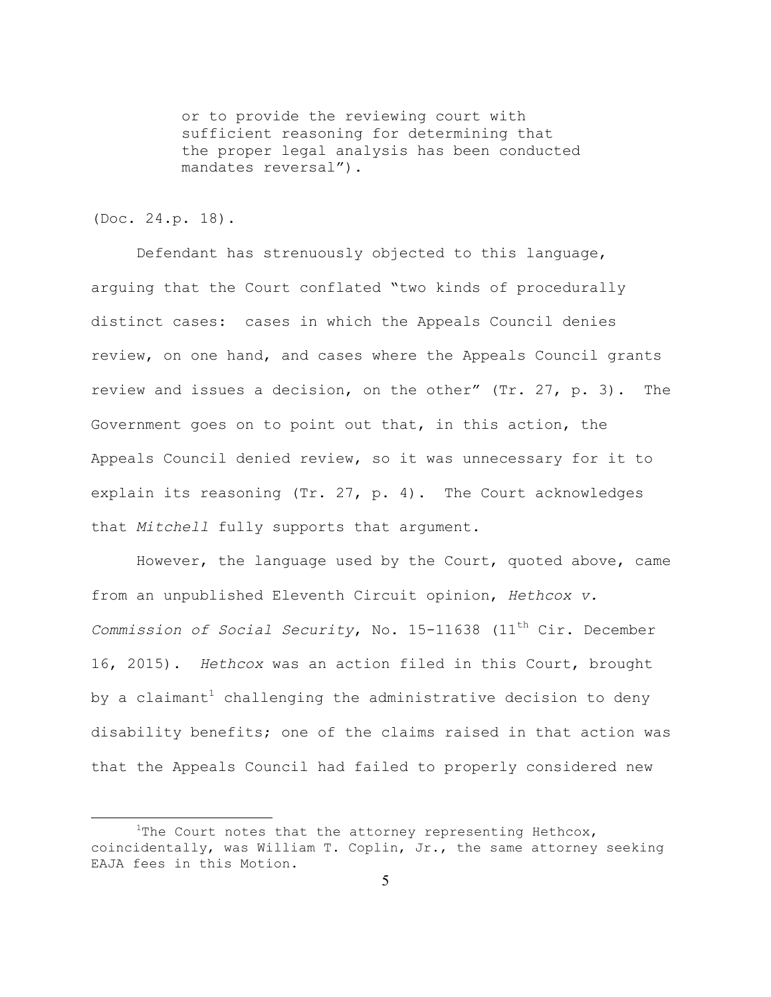or to provide the reviewing court with sufficient reasoning for determining that the proper legal analysis has been conducted mandates reversal").

## (Doc. 24.p. 18).

 Defendant has strenuously objected to this language, arguing that the Court conflated "two kinds of procedurally distinct cases: cases in which the Appeals Council denies review, on one hand, and cases where the Appeals Council grants review and issues a decision, on the other" (Tr. 27, p. 3). The Government goes on to point out that, in this action, the Appeals Council denied review, so it was unnecessary for it to explain its reasoning (Tr. 27, p. 4). The Court acknowledges that *Mitchell* fully supports that argument.

 However, the language used by the Court, quoted above, came from an unpublished Eleventh Circuit opinion, *Hethcox v. Commission of Social Security*, No. 15-11638 (11<sup>th</sup> Cir. December 16, 2015). *Hethcox* was an action filed in this Court, brought by a claimant<sup>1</sup> challenging the administrative decision to deny disability benefits; one of the claims raised in that action was that the Appeals Council had failed to properly considered new

 $\begin{array}{c|c}\n\hline\n\text{1}\n\end{array}$ <sup>1</sup>The Court notes that the attorney representing Hethcox, coincidentally, was William T. Coplin, Jr., the same attorney seeking EAJA fees in this Motion.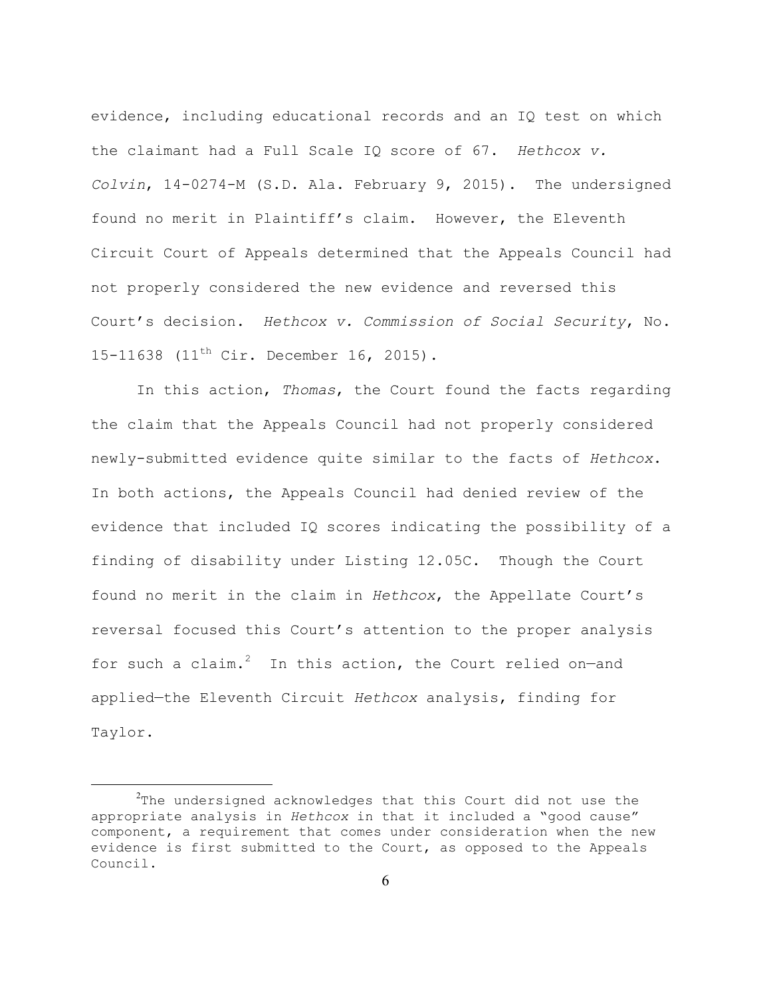evidence, including educational records and an IQ test on which the claimant had a Full Scale IQ score of 67. *Hethcox v. Colvin*, 14-0274-M (S.D. Ala. February 9, 2015). The undersigned found no merit in Plaintiff's claim. However, the Eleventh Circuit Court of Appeals determined that the Appeals Council had not properly considered the new evidence and reversed this Court's decision. *Hethcox v. Commission of Social Security*, No. 15-11638 (11<sup>th</sup> Cir. December 16, 2015).

 In this action, *Thomas*, the Court found the facts regarding the claim that the Appeals Council had not properly considered newly-submitted evidence quite similar to the facts of *Hethcox*. In both actions, the Appeals Council had denied review of the evidence that included IQ scores indicating the possibility of a finding of disability under Listing 12.05C. Though the Court found no merit in the claim in *Hethcox*, the Appellate Court's reversal focused this Court's attention to the proper analysis for such a claim. $2$  In this action, the Court relied on-and applied—the Eleventh Circuit *Hethcox* analysis, finding for Taylor.

 $\frac{1}{2}$  $10^{2}$ The undersigned acknowledges that this Court did not use the appropriate analysis in *Hethcox* in that it included a "good cause" component, a requirement that comes under consideration when the new evidence is first submitted to the Court, as opposed to the Appeals Council.